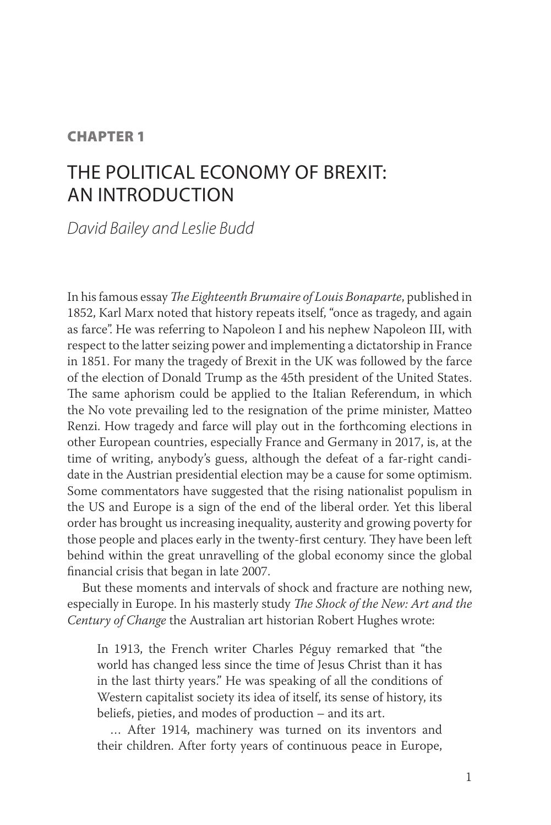## **CHAPTER 1**

# The political economy of Brexit: an introduction

*David Bailey and Leslie Budd*

In his famous essay *The Eighteenth Brumaire of Louis Bonaparte*, published in 1852, Karl Marx noted that history repeats itself, "once as tragedy, and again as farce". He was referring to Napoleon I and his nephew Napoleon III, with respect to the latter seizing power and implementing a dictatorship in France in 1851. For many the tragedy of Brexit in the UK was followed by the farce of the election of Donald Trump as the 45th president of the United States. The same aphorism could be applied to the Italian Referendum, in which the No vote prevailing led to the resignation of the prime minister, Matteo Renzi. How tragedy and farce will play out in the forthcoming elections in other European countries, especially France and Germany in 2017, is, at the time of writing, anybody's guess, although the defeat of a far-right candidate in the Austrian presidential election may be a cause for some optimism. Some commentators have suggested that the rising nationalist populism in the US and Europe is a sign of the end of the liberal order. Yet this liberal order has brought us increasing inequality, austerity and growing poverty for those people and places early in the twenty-first century. They have been left behind within the great unravelling of the global economy since the global financial crisis that began in late 2007.

But these moments and intervals of shock and fracture are nothing new, especially in Europe. In his masterly study *The Shock of the New: Art and the Century of Change* the Australian art historian Robert Hughes wrote:

In 1913, the French writer Charles Péguy remarked that "the world has changed less since the time of Jesus Christ than it has in the last thirty years." He was speaking of all the conditions of Western capitalist society its idea of itself, its sense of history, its beliefs, pieties, and modes of production – and its art.

… After 1914, machinery was turned on its inventors and their children. After forty years of continuous peace in Europe,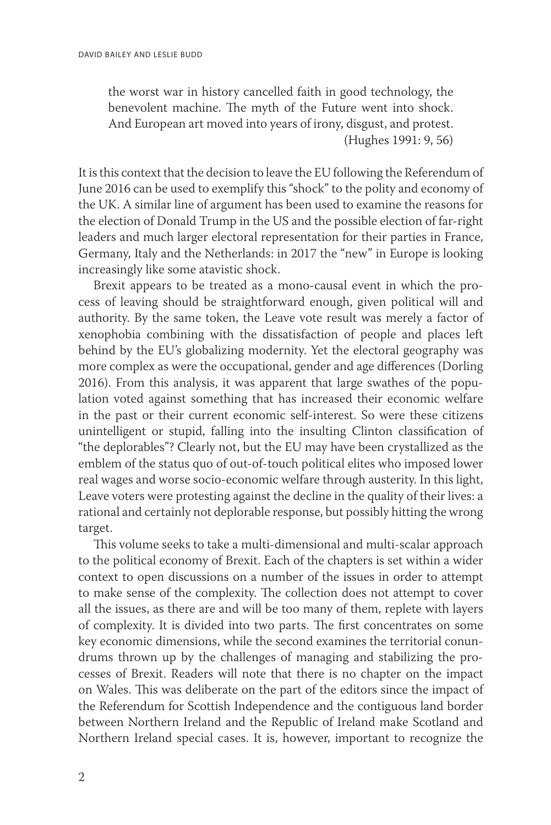the worst war in history cancelled faith in good technology, the benevolent machine. The myth of the Future went into shock. And European art moved into years of irony, disgust, and protest. (Hughes 1991: 9, 56)

It is this context that the decision to leave the EU following the Referendum of June 2016 can be used to exemplify this "shock" to the polity and economy of the UK. A similar line of argument has been used to examine the reasons for the election of Donald Trump in the US and the possible election of far-right leaders and much larger electoral representation for their parties in France, Germany, Italy and the Netherlands: in 2017 the "new" in Europe is looking increasingly like some atavistic shock.

Brexit appears to be treated as a mono-causal event in which the process of leaving should be straightforward enough, given political will and authority. By the same token, the Leave vote result was merely a factor of xenophobia combining with the dissatisfaction of people and places left behind by the EU's globalizing modernity. Yet the electoral geography was more complex as were the occupational, gender and age differences (Dorling 2016). From this analysis, it was apparent that large swathes of the population voted against something that has increased their economic welfare in the past or their current economic self-interest. So were these citizens unintelligent or stupid, falling into the insulting Clinton classification of "the deplorables"? Clearly not, but the EU may have been crystallized as the emblem of the status quo of out-of-touch political elites who imposed lower real wages and worse socio-economic welfare through austerity. In this light, Leave voters were protesting against the decline in the quality of their lives: a rational and certainly not deplorable response, but possibly hitting the wrong target.

This volume seeks to take a multi-dimensional and multi-scalar approach to the political economy of Brexit. Each of the chapters is set within a wider context to open discussions on a number of the issues in order to attempt to make sense of the complexity. The collection does not attempt to cover all the issues, as there are and will be too many of them, replete with layers of complexity. It is divided into two parts. The first concentrates on some key economic dimensions, while the second examines the territorial conundrums thrown up by the challenges of managing and stabilizing the processes of Brexit. Readers will note that there is no chapter on the impact on Wales. This was deliberate on the part of the editors since the impact of the Referendum for Scottish Independence and the contiguous land border between Northern Ireland and the Republic of Ireland make Scotland and Northern Ireland special cases. It is, however, important to recognize the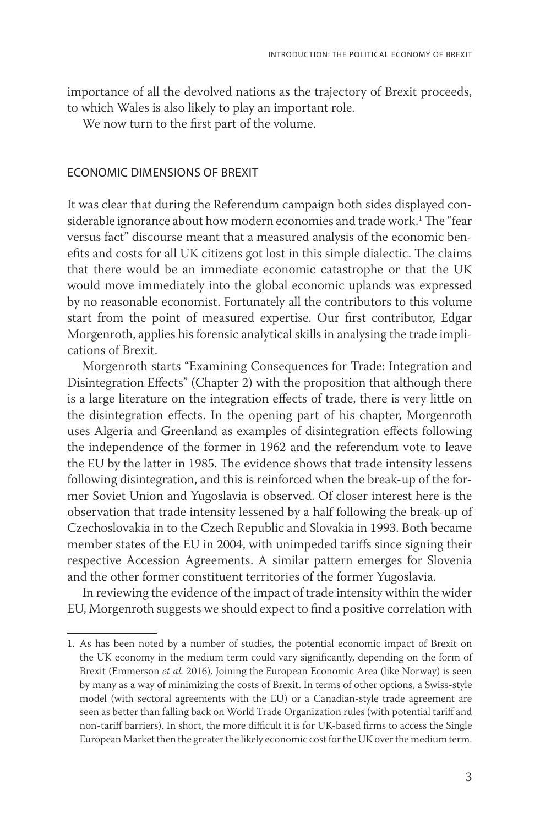importance of all the devolved nations as the trajectory of Brexit proceeds, to which Wales is also likely to play an important role.

We now turn to the first part of the volume.

#### Economic dimensions of Brexit

It was clear that during the Referendum campaign both sides displayed considerable ignorance about how modern economies and trade work.<sup>1</sup> The "fear versus fact" discourse meant that a measured analysis of the economic benefits and costs for all UK citizens got lost in this simple dialectic. The claims that there would be an immediate economic catastrophe or that the UK would move immediately into the global economic uplands was expressed by no reasonable economist. Fortunately all the contributors to this volume start from the point of measured expertise. Our first contributor, Edgar Morgenroth, applies his forensic analytical skills in analysing the trade implications of Brexit.

Morgenroth starts "Examining Consequences for Trade: Integration and Disintegration Effects" (Chapter 2) with the proposition that although there is a large literature on the integration effects of trade, there is very little on the disintegration effects. In the opening part of his chapter, Morgenroth uses Algeria and Greenland as examples of disintegration effects following the independence of the former in 1962 and the referendum vote to leave the EU by the latter in 1985. The evidence shows that trade intensity lessens following disintegration, and this is reinforced when the break-up of the former Soviet Union and Yugoslavia is observed. Of closer interest here is the observation that trade intensity lessened by a half following the break-up of Czechoslovakia in to the Czech Republic and Slovakia in 1993. Both became member states of the EU in 2004, with unimpeded tariffs since signing their respective Accession Agreements. A similar pattern emerges for Slovenia and the other former constituent territories of the former Yugoslavia.

In reviewing the evidence of the impact of trade intensity within the wider EU, Morgenroth suggests we should expect to find a positive correlation with

<sup>1.</sup> As has been noted by a number of studies, the potential economic impact of Brexit on the UK economy in the medium term could vary significantly, depending on the form of Brexit (Emmerson *et al.* 2016). Joining the European Economic Area (like Norway) is seen by many as a way of minimizing the costs of Brexit. In terms of other options, a Swiss-style model (with sectoral agreements with the EU) or a Canadian-style trade agreement are seen as better than falling back on World Trade Organization rules (with potential tariff and non-tariff barriers). In short, the more difficult it is for UK-based firms to access the Single European Market then the greater the likely economic cost for the UK over the medium term.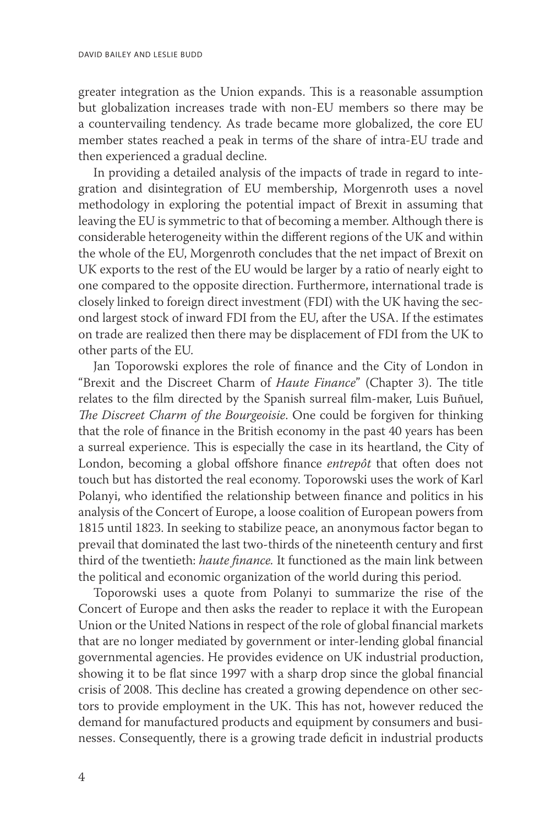greater integration as the Union expands. This is a reasonable assumption but globalization increases trade with non-EU members so there may be a countervailing tendency. As trade became more globalized, the core EU member states reached a peak in terms of the share of intra-EU trade and then experienced a gradual decline.

In providing a detailed analysis of the impacts of trade in regard to integration and disintegration of EU membership, Morgenroth uses a novel methodology in exploring the potential impact of Brexit in assuming that leaving the EU is symmetric to that of becoming a member. Although there is considerable heterogeneity within the different regions of the UK and within the whole of the EU, Morgenroth concludes that the net impact of Brexit on UK exports to the rest of the EU would be larger by a ratio of nearly eight to one compared to the opposite direction. Furthermore, international trade is closely linked to foreign direct investment (FDI) with the UK having the second largest stock of inward FDI from the EU, after the USA. If the estimates on trade are realized then there may be displacement of FDI from the UK to other parts of the EU.

Jan Toporowski explores the role of finance and the City of London in "Brexit and the Discreet Charm of *Haute Finance*" (Chapter 3). The title relates to the film directed by the Spanish surreal film-maker, Luis Buñuel, *The Discreet Charm of the Bourgeoisie*. One could be forgiven for thinking that the role of finance in the British economy in the past 40 years has been a surreal experience. This is especially the case in its heartland, the City of London, becoming a global offshore finance *entrepôt* that often does not touch but has distorted the real economy. Toporowski uses the work of Karl Polanyi, who identified the relationship between finance and politics in his analysis of the Concert of Europe, a loose coalition of European powers from 1815 until 1823. In seeking to stabilize peace, an anonymous factor began to prevail that dominated the last two-thirds of the nineteenth century and first third of the twentieth: *haute finance.* It functioned as the main link between the political and economic organization of the world during this period.

Toporowski uses a quote from Polanyi to summarize the rise of the Concert of Europe and then asks the reader to replace it with the European Union or the United Nations in respect of the role of global financial markets that are no longer mediated by government or inter-lending global financial governmental agencies. He provides evidence on UK industrial production, showing it to be flat since 1997 with a sharp drop since the global financial crisis of 2008. This decline has created a growing dependence on other sectors to provide employment in the UK. This has not, however reduced the demand for manufactured products and equipment by consumers and businesses. Consequently, there is a growing trade deficit in industrial products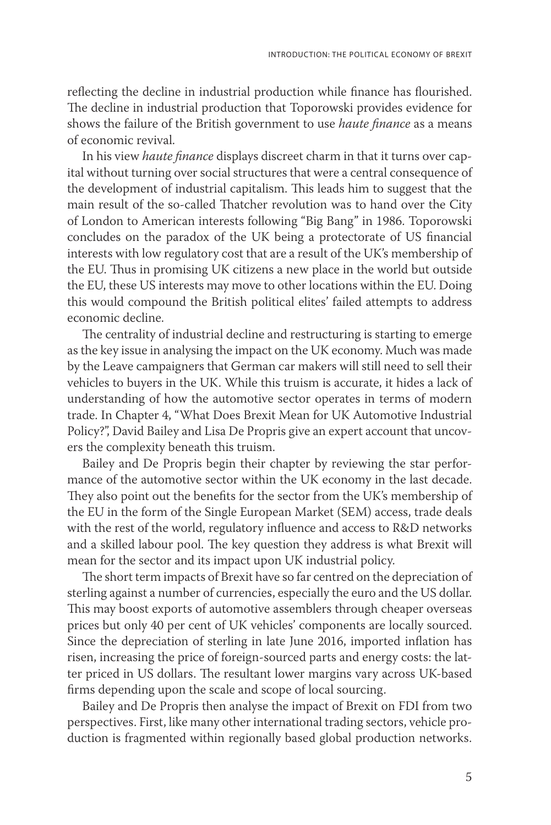reflecting the decline in industrial production while finance has flourished. The decline in industrial production that Toporowski provides evidence for shows the failure of the British government to use *haute finance* as a means of economic revival.

In his view *haute finance* displays discreet charm in that it turns over capital without turning over social structures that were a central consequence of the development of industrial capitalism. This leads him to suggest that the main result of the so-called Thatcher revolution was to hand over the City of London to American interests following "Big Bang" in 1986. Toporowski concludes on the paradox of the UK being a protectorate of US financial interests with low regulatory cost that are a result of the UK's membership of the EU. Thus in promising UK citizens a new place in the world but outside the EU, these US interests may move to other locations within the EU. Doing this would compound the British political elites' failed attempts to address economic decline.

The centrality of industrial decline and restructuring is starting to emerge as the key issue in analysing the impact on the UK economy. Much was made by the Leave campaigners that German car makers will still need to sell their vehicles to buyers in the UK. While this truism is accurate, it hides a lack of understanding of how the automotive sector operates in terms of modern trade. In Chapter 4, "What Does Brexit Mean for UK Automotive Industrial Policy?", David Bailey and Lisa De Propris give an expert account that uncovers the complexity beneath this truism.

Bailey and De Propris begin their chapter by reviewing the star performance of the automotive sector within the UK economy in the last decade. They also point out the benefits for the sector from the UK's membership of the EU in the form of the Single European Market (SEM) access, trade deals with the rest of the world, regulatory influence and access to R&D networks and a skilled labour pool. The key question they address is what Brexit will mean for the sector and its impact upon UK industrial policy.

The short term impacts of Brexit have so far centred on the depreciation of sterling against a number of currencies, especially the euro and the US dollar. This may boost exports of automotive assemblers through cheaper overseas prices but only 40 per cent of UK vehicles' components are locally sourced. Since the depreciation of sterling in late June 2016, imported inflation has risen, increasing the price of foreign-sourced parts and energy costs: the latter priced in US dollars. The resultant lower margins vary across UK-based firms depending upon the scale and scope of local sourcing.

Bailey and De Propris then analyse the impact of Brexit on FDI from two perspectives. First, like many other international trading sectors, vehicle production is fragmented within regionally based global production networks.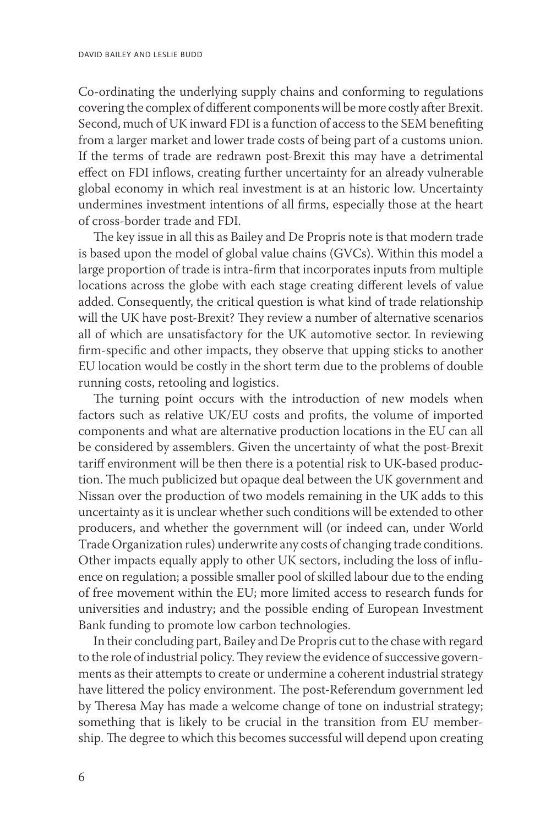Co-ordinating the underlying supply chains and conforming to regulations covering the complex of different components will be more costly after Brexit. Second, much of UK inward FDI is a function of access to the SEM benefiting from a larger market and lower trade costs of being part of a customs union. If the terms of trade are redrawn post-Brexit this may have a detrimental effect on FDI inflows, creating further uncertainty for an already vulnerable global economy in which real investment is at an historic low. Uncertainty undermines investment intentions of all firms, especially those at the heart of cross-border trade and FDI.

The key issue in all this as Bailey and De Propris note is that modern trade is based upon the model of global value chains (GVCs). Within this model a large proportion of trade is intra-firm that incorporates inputs from multiple locations across the globe with each stage creating different levels of value added. Consequently, the critical question is what kind of trade relationship will the UK have post-Brexit? They review a number of alternative scenarios all of which are unsatisfactory for the UK automotive sector. In reviewing firm-specific and other impacts, they observe that upping sticks to another EU location would be costly in the short term due to the problems of double running costs, retooling and logistics.

The turning point occurs with the introduction of new models when factors such as relative UK/EU costs and profits, the volume of imported components and what are alternative production locations in the EU can all be considered by assemblers. Given the uncertainty of what the post-Brexit tariff environment will be then there is a potential risk to UK-based production. The much publicized but opaque deal between the UK government and Nissan over the production of two models remaining in the UK adds to this uncertainty as it is unclear whether such conditions will be extended to other producers, and whether the government will (or indeed can, under World Trade Organization rules) underwrite any costs of changing trade conditions. Other impacts equally apply to other UK sectors, including the loss of influence on regulation; a possible smaller pool of skilled labour due to the ending of free movement within the EU; more limited access to research funds for universities and industry; and the possible ending of European Investment Bank funding to promote low carbon technologies.

In their concluding part, Bailey and De Propris cut to the chase with regard to the role of industrial policy. They review the evidence of successive governments as their attempts to create or undermine a coherent industrial strategy have littered the policy environment. The post-Referendum government led by Theresa May has made a welcome change of tone on industrial strategy; something that is likely to be crucial in the transition from EU membership. The degree to which this becomes successful will depend upon creating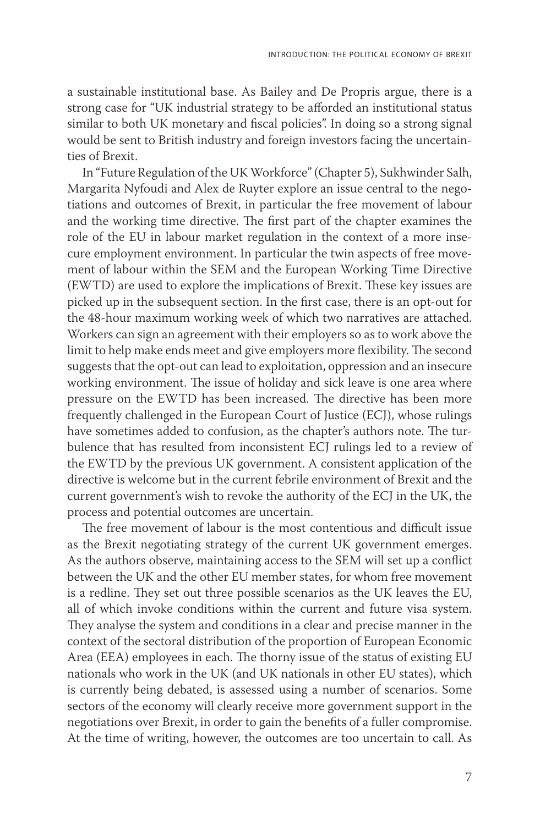a sustainable institutional base. As Bailey and De Propris argue, there is a strong case for "UK industrial strategy to be afforded an institutional status similar to both UK monetary and fiscal policies". In doing so a strong signal would be sent to British industry and foreign investors facing the uncertainties of Brexit.

In "Future Regulation of the UK Workforce" (Chapter 5), Sukhwinder Salh, Margarita Nyfoudi and Alex de Ruyter explore an issue central to the negotiations and outcomes of Brexit, in particular the free movement of labour and the working time directive. The first part of the chapter examines the role of the EU in labour market regulation in the context of a more insecure employment environment. In particular the twin aspects of free movement of labour within the SEM and the European Working Time Directive (EWTD) are used to explore the implications of Brexit. These key issues are picked up in the subsequent section. In the first case, there is an opt-out for the 48-hour maximum working week of which two narratives are attached. Workers can sign an agreement with their employers so as to work above the limit to help make ends meet and give employers more flexibility. The second suggests that the opt-out can lead to exploitation, oppression and an insecure working environment. The issue of holiday and sick leave is one area where pressure on the EWTD has been increased. The directive has been more frequently challenged in the European Court of Justice (ECJ), whose rulings have sometimes added to confusion, as the chapter's authors note. The turbulence that has resulted from inconsistent ECJ rulings led to a review of the EWTD by the previous UK government. A consistent application of the directive is welcome but in the current febrile environment of Brexit and the current government's wish to revoke the authority of the ECJ in the UK, the process and potential outcomes are uncertain.

The free movement of labour is the most contentious and difficult issue as the Brexit negotiating strategy of the current UK government emerges. As the authors observe, maintaining access to the SEM will set up a conflict between the UK and the other EU member states, for whom free movement is a redline. They set out three possible scenarios as the UK leaves the EU, all of which invoke conditions within the current and future visa system. They analyse the system and conditions in a clear and precise manner in the context of the sectoral distribution of the proportion of European Economic Area (EEA) employees in each. The thorny issue of the status of existing EU nationals who work in the UK (and UK nationals in other EU states), which is currently being debated, is assessed using a number of scenarios. Some sectors of the economy will clearly receive more government support in the negotiations over Brexit, in order to gain the benefits of a fuller compromise. At the time of writing, however, the outcomes are too uncertain to call. As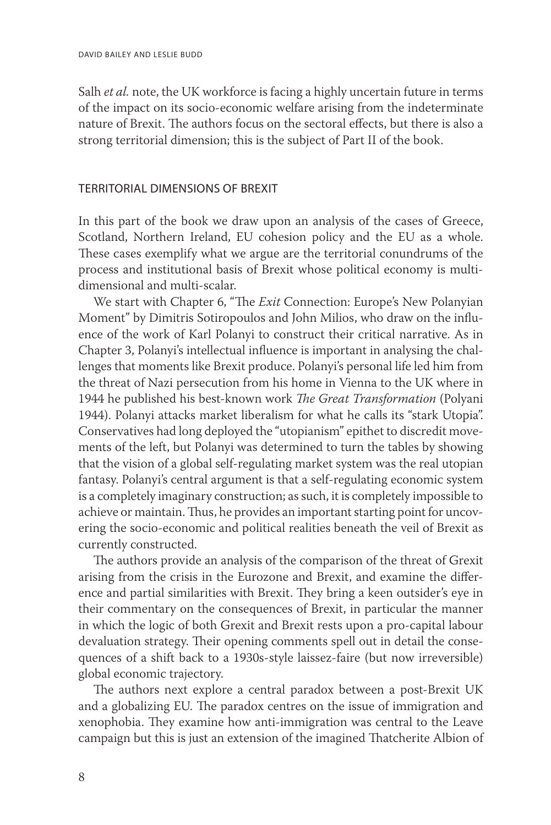Salh *et al.* note, the UK workforce is facing a highly uncertain future in terms of the impact on its socio-economic welfare arising from the indeterminate nature of Brexit. The authors focus on the sectoral effects, but there is also a strong territorial dimension; this is the subject of Part II of the book.

### Territorial dimensions of Brexit

In this part of the book we draw upon an analysis of the cases of Greece, Scotland, Northern Ireland, EU cohesion policy and the EU as a whole. These cases exemplify what we argue are the territorial conundrums of the process and institutional basis of Brexit whose political economy is multidimensional and multi-scalar.

We start with Chapter 6, "The *Exit* Connection: Europe's New Polanyian Moment" by Dimitris Sotiropoulos and John Milios, who draw on the influence of the work of Karl Polanyi to construct their critical narrative. As in Chapter 3, Polanyi's intellectual influence is important in analysing the challenges that moments like Brexit produce. Polanyi's personal life led him from the threat of Nazi persecution from his home in Vienna to the UK where in 1944 he published his best-known work *The Great Transformation* (Polyani 1944). Polanyi attacks market liberalism for what he calls its "stark Utopia". Conservatives had long deployed the "utopianism" epithet to discredit movements of the left, but Polanyi was determined to turn the tables by showing that the vision of a global self-regulating market system was the real utopian fantasy. Polanyi's central argument is that a self-regulating economic system is a completely imaginary construction; as such, it is completely impossible to achieve or maintain. Thus, he provides an important starting point for uncovering the socio-economic and political realities beneath the veil of Brexit as currently constructed.

The authors provide an analysis of the comparison of the threat of Grexit arising from the crisis in the Eurozone and Brexit, and examine the difference and partial similarities with Brexit. They bring a keen outsider's eye in their commentary on the consequences of Brexit, in particular the manner in which the logic of both Grexit and Brexit rests upon a pro-capital labour devaluation strategy. Their opening comments spell out in detail the consequences of a shift back to a 1930s-style laissez-faire (but now irreversible) global economic trajectory.

The authors next explore a central paradox between a post-Brexit UK and a globalizing EU. The paradox centres on the issue of immigration and xenophobia. They examine how anti-immigration was central to the Leave campaign but this is just an extension of the imagined Thatcherite Albion of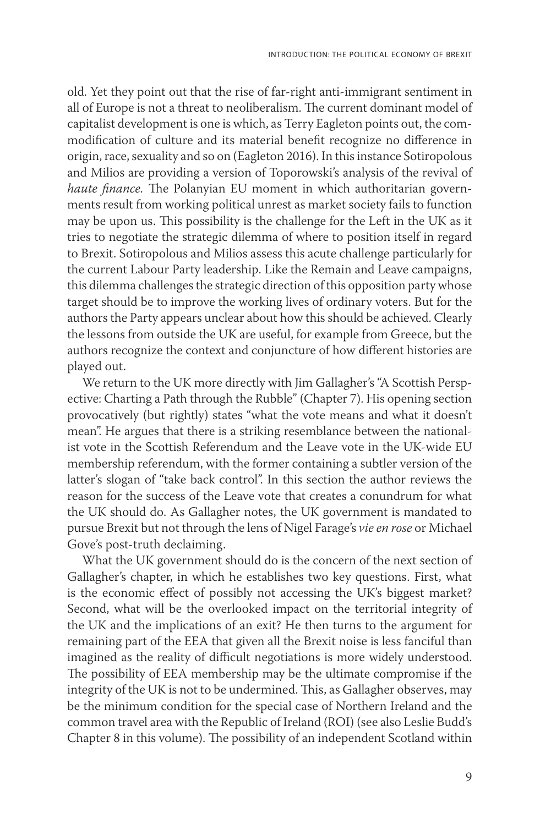old. Yet they point out that the rise of far-right anti-immigrant sentiment in all of Europe is not a threat to neoliberalism. The current dominant model of capitalist development is one is which, as Terry Eagleton points out, the commodification of culture and its material benefit recognize no difference in origin, race, sexuality and so on (Eagleton 2016). In this instance Sotiropolous and Milios are providing a version of Toporowski's analysis of the revival of *haute finance.* The Polanyian EU moment in which authoritarian governments result from working political unrest as market society fails to function may be upon us. This possibility is the challenge for the Left in the UK as it tries to negotiate the strategic dilemma of where to position itself in regard to Brexit. Sotiropolous and Milios assess this acute challenge particularly for the current Labour Party leadership. Like the Remain and Leave campaigns, this dilemma challenges the strategic direction of this opposition party whose target should be to improve the working lives of ordinary voters. But for the authors the Party appears unclear about how this should be achieved. Clearly the lessons from outside the UK are useful, for example from Greece, but the authors recognize the context and conjuncture of how different histories are played out.

We return to the UK more directly with Jim Gallagher's "A Scottish Perspective: Charting a Path through the Rubble" (Chapter 7). His opening section provocatively (but rightly) states "what the vote means and what it doesn't mean". He argues that there is a striking resemblance between the nationalist vote in the Scottish Referendum and the Leave vote in the UK-wide EU membership referendum, with the former containing a subtler version of the latter's slogan of "take back control". In this section the author reviews the reason for the success of the Leave vote that creates a conundrum for what the UK should do. As Gallagher notes, the UK government is mandated to pursue Brexit but not through the lens of Nigel Farage's *vie en rose* or Michael Gove's post-truth declaiming.

What the UK government should do is the concern of the next section of Gallagher's chapter, in which he establishes two key questions. First, what is the economic effect of possibly not accessing the UK's biggest market? Second, what will be the overlooked impact on the territorial integrity of the UK and the implications of an exit? He then turns to the argument for remaining part of the EEA that given all the Brexit noise is less fanciful than imagined as the reality of difficult negotiations is more widely understood. The possibility of EEA membership may be the ultimate compromise if the integrity of the UK is not to be undermined. This, as Gallagher observes, may be the minimum condition for the special case of Northern Ireland and the common travel area with the Republic of Ireland (ROI) (see also Leslie Budd's Chapter 8 in this volume). The possibility of an independent Scotland within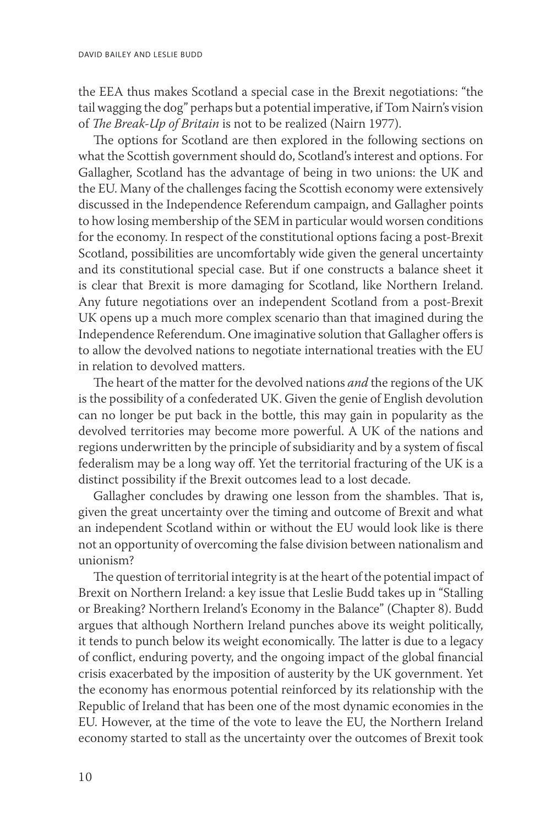the EEA thus makes Scotland a special case in the Brexit negotiations: "the tail wagging the dog" perhaps but a potential imperative, if Tom Nairn's vision of *The Break-Up of Britain* is not to be realized (Nairn 1977).

The options for Scotland are then explored in the following sections on what the Scottish government should do, Scotland's interest and options. For Gallagher, Scotland has the advantage of being in two unions: the UK and the EU. Many of the challenges facing the Scottish economy were extensively discussed in the Independence Referendum campaign, and Gallagher points to how losing membership of the SEM in particular would worsen conditions for the economy. In respect of the constitutional options facing a post-Brexit Scotland, possibilities are uncomfortably wide given the general uncertainty and its constitutional special case. But if one constructs a balance sheet it is clear that Brexit is more damaging for Scotland, like Northern Ireland. Any future negotiations over an independent Scotland from a post-Brexit UK opens up a much more complex scenario than that imagined during the Independence Referendum. One imaginative solution that Gallagher offers is to allow the devolved nations to negotiate international treaties with the EU in relation to devolved matters.

The heart of the matter for the devolved nations *and* the regions of the UK is the possibility of a confederated UK. Given the genie of English devolution can no longer be put back in the bottle, this may gain in popularity as the devolved territories may become more powerful. A UK of the nations and regions underwritten by the principle of subsidiarity and by a system of fiscal federalism may be a long way off. Yet the territorial fracturing of the UK is a distinct possibility if the Brexit outcomes lead to a lost decade.

Gallagher concludes by drawing one lesson from the shambles. That is, given the great uncertainty over the timing and outcome of Brexit and what an independent Scotland within or without the EU would look like is there not an opportunity of overcoming the false division between nationalism and unionism?

The question of territorial integrity is at the heart of the potential impact of Brexit on Northern Ireland: a key issue that Leslie Budd takes up in "Stalling or Breaking? Northern Ireland's Economy in the Balance" (Chapter 8). Budd argues that although Northern Ireland punches above its weight politically, it tends to punch below its weight economically. The latter is due to a legacy of conflict, enduring poverty, and the ongoing impact of the global financial crisis exacerbated by the imposition of austerity by the UK government. Yet the economy has enormous potential reinforced by its relationship with the Republic of Ireland that has been one of the most dynamic economies in the EU. However, at the time of the vote to leave the EU, the Northern Ireland economy started to stall as the uncertainty over the outcomes of Brexit took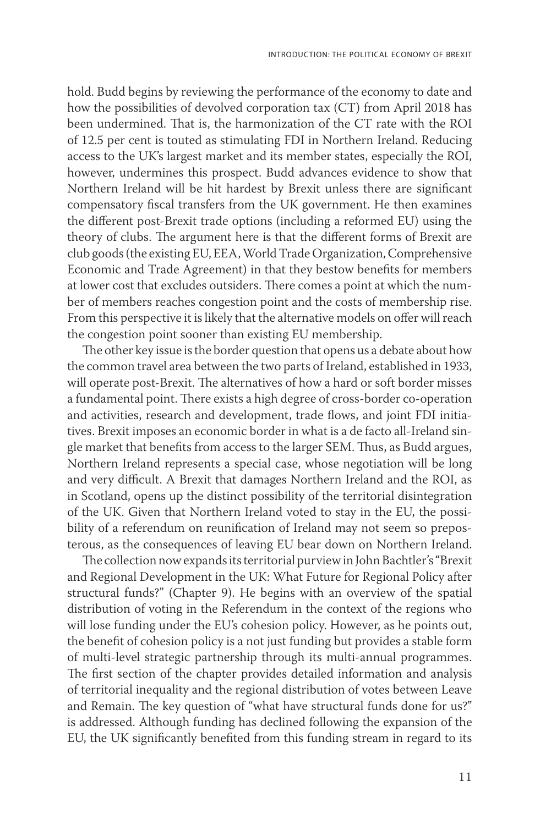hold. Budd begins by reviewing the performance of the economy to date and how the possibilities of devolved corporation tax (CT) from April 2018 has been undermined. That is, the harmonization of the CT rate with the ROI of 12.5 per cent is touted as stimulating FDI in Northern Ireland. Reducing access to the UK's largest market and its member states, especially the ROI, however, undermines this prospect. Budd advances evidence to show that Northern Ireland will be hit hardest by Brexit unless there are significant compensatory fiscal transfers from the UK government. He then examines the different post-Brexit trade options (including a reformed EU) using the theory of clubs. The argument here is that the different forms of Brexit are club goods (the existing EU, EEA, World Trade Organization, Comprehensive Economic and Trade Agreement) in that they bestow benefits for members at lower cost that excludes outsiders. There comes a point at which the number of members reaches congestion point and the costs of membership rise. From this perspective it is likely that the alternative models on offer will reach the congestion point sooner than existing EU membership.

The other key issue is the border question that opens us a debate about how the common travel area between the two parts of Ireland, established in 1933, will operate post-Brexit. The alternatives of how a hard or soft border misses a fundamental point. There exists a high degree of cross-border co-operation and activities, research and development, trade flows, and joint FDI initiatives. Brexit imposes an economic border in what is a de facto all-Ireland single market that benefits from access to the larger SEM. Thus, as Budd argues, Northern Ireland represents a special case, whose negotiation will be long and very difficult. A Brexit that damages Northern Ireland and the ROI, as in Scotland, opens up the distinct possibility of the territorial disintegration of the UK. Given that Northern Ireland voted to stay in the EU, the possibility of a referendum on reunification of Ireland may not seem so preposterous, as the consequences of leaving EU bear down on Northern Ireland.

The collection now expands its territorial purview in John Bachtler's "Brexit and Regional Development in the UK: What Future for Regional Policy after structural funds?" (Chapter 9). He begins with an overview of the spatial distribution of voting in the Referendum in the context of the regions who will lose funding under the EU's cohesion policy. However, as he points out, the benefit of cohesion policy is a not just funding but provides a stable form of multi-level strategic partnership through its multi-annual programmes. The first section of the chapter provides detailed information and analysis of territorial inequality and the regional distribution of votes between Leave and Remain. The key question of "what have structural funds done for us?" is addressed. Although funding has declined following the expansion of the EU, the UK significantly benefited from this funding stream in regard to its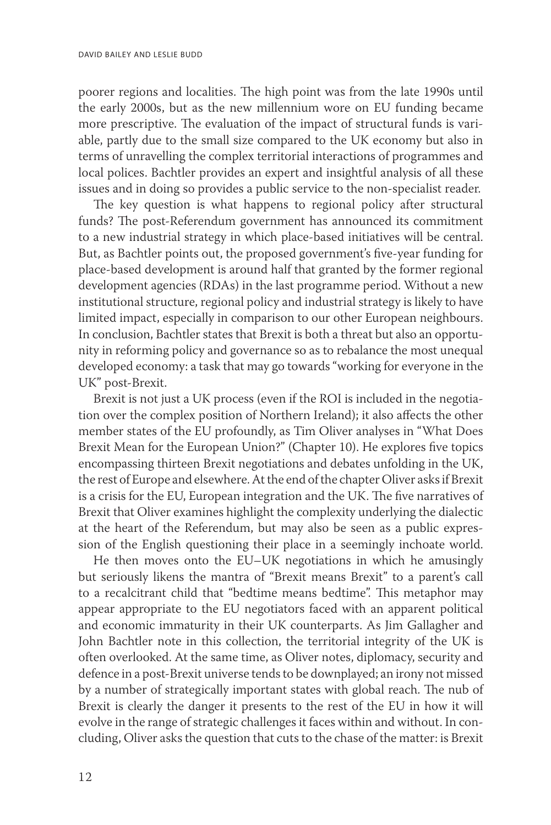poorer regions and localities. The high point was from the late 1990s until the early 2000s, but as the new millennium wore on EU funding became more prescriptive. The evaluation of the impact of structural funds is variable, partly due to the small size compared to the UK economy but also in terms of unravelling the complex territorial interactions of programmes and local polices. Bachtler provides an expert and insightful analysis of all these issues and in doing so provides a public service to the non-specialist reader.

The key question is what happens to regional policy after structural funds? The post-Referendum government has announced its commitment to a new industrial strategy in which place-based initiatives will be central. But, as Bachtler points out, the proposed government's five-year funding for place-based development is around half that granted by the former regional development agencies (RDAs) in the last programme period. Without a new institutional structure, regional policy and industrial strategy is likely to have limited impact, especially in comparison to our other European neighbours. In conclusion, Bachtler states that Brexit is both a threat but also an opportunity in reforming policy and governance so as to rebalance the most unequal developed economy: a task that may go towards "working for everyone in the UK" post-Brexit.

Brexit is not just a UK process (even if the ROI is included in the negotiation over the complex position of Northern Ireland); it also affects the other member states of the EU profoundly, as Tim Oliver analyses in "What Does Brexit Mean for the European Union?" (Chapter 10). He explores five topics encompassing thirteen Brexit negotiations and debates unfolding in the UK, the rest of Europe and elsewhere. At the end of the chapter Oliver asks if Brexit is a crisis for the EU, European integration and the UK. The five narratives of Brexit that Oliver examines highlight the complexity underlying the dialectic at the heart of the Referendum, but may also be seen as a public expression of the English questioning their place in a seemingly inchoate world.

He then moves onto the EU–UK negotiations in which he amusingly but seriously likens the mantra of "Brexit means Brexit" to a parent's call to a recalcitrant child that "bedtime means bedtime". This metaphor may appear appropriate to the EU negotiators faced with an apparent political and economic immaturity in their UK counterparts. As Jim Gallagher and John Bachtler note in this collection, the territorial integrity of the UK is often overlooked. At the same time, as Oliver notes, diplomacy, security and defence in a post-Brexit universe tends to be downplayed; an irony not missed by a number of strategically important states with global reach. The nub of Brexit is clearly the danger it presents to the rest of the EU in how it will evolve in the range of strategic challenges it faces within and without. In concluding, Oliver asks the question that cuts to the chase of the matter: is Brexit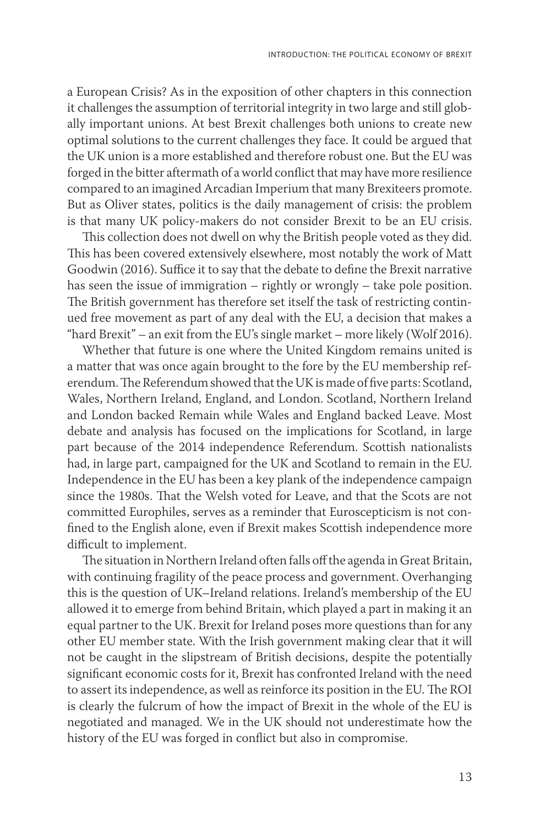a European Crisis? As in the exposition of other chapters in this connection it challenges the assumption of territorial integrity in two large and still globally important unions. At best Brexit challenges both unions to create new optimal solutions to the current challenges they face. It could be argued that the UK union is a more established and therefore robust one. But the EU was forged in the bitter aftermath of a world conflict that may have more resilience compared to an imagined Arcadian Imperium that many Brexiteers promote. But as Oliver states, politics is the daily management of crisis: the problem is that many UK policy-makers do not consider Brexit to be an EU crisis.

This collection does not dwell on why the British people voted as they did. This has been covered extensively elsewhere, most notably the work of Matt Goodwin (2016). Suffice it to say that the debate to define the Brexit narrative has seen the issue of immigration – rightly or wrongly – take pole position. The British government has therefore set itself the task of restricting continued free movement as part of any deal with the EU, a decision that makes a "hard Brexit" – an exit from the EU's single market – more likely (Wolf 2016).

Whether that future is one where the United Kingdom remains united is a matter that was once again brought to the fore by the EU membership referendum. The Referendum showed that the UK is made of five parts: Scotland, Wales, Northern Ireland, England, and London. Scotland, Northern Ireland and London backed Remain while Wales and England backed Leave. Most debate and analysis has focused on the implications for Scotland, in large part because of the 2014 independence Referendum. Scottish nationalists had, in large part, campaigned for the UK and Scotland to remain in the EU. Independence in the EU has been a key plank of the independence campaign since the 1980s. That the Welsh voted for Leave, and that the Scots are not committed Europhiles, serves as a reminder that Euroscepticism is not confined to the English alone, even if Brexit makes Scottish independence more difficult to implement.

The situation in Northern Ireland often falls off the agenda in Great Britain, with continuing fragility of the peace process and government. Overhanging this is the question of UK–Ireland relations. Ireland's membership of the EU allowed it to emerge from behind Britain, which played a part in making it an equal partner to the UK. Brexit for Ireland poses more questions than for any other EU member state. With the Irish government making clear that it will not be caught in the slipstream of British decisions, despite the potentially significant economic costs for it, Brexit has confronted Ireland with the need to assert its independence, as well as reinforce its position in the EU. The ROI is clearly the fulcrum of how the impact of Brexit in the whole of the EU is negotiated and managed. We in the UK should not underestimate how the history of the EU was forged in conflict but also in compromise.